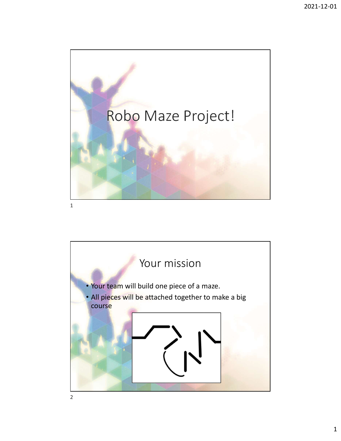



2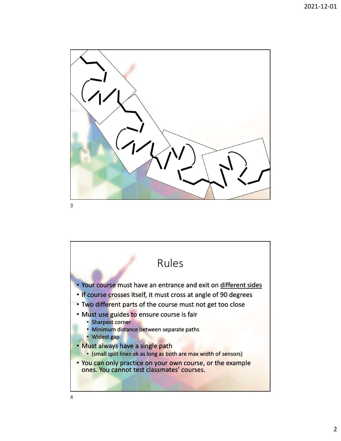

3